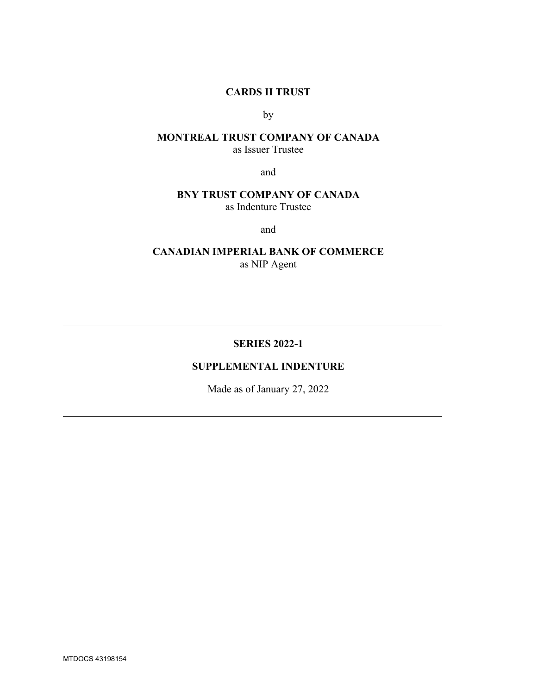### **CARDS II TRUST**

by

### **MONTREAL TRUST COMPANY OF CANADA** as Issuer Trustee

and

## **BNY TRUST COMPANY OF CANADA** as Indenture Trustee

and

**CANADIAN IMPERIAL BANK OF COMMERCE** as NIP Agent

### **SERIES 2022-1**

#### **SUPPLEMENTAL INDENTURE**

Made as of January 27, 2022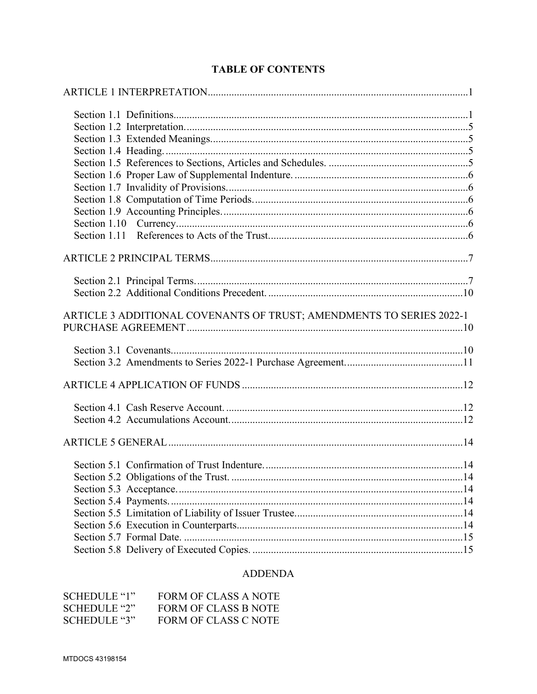| ARTICLE 3 ADDITIONAL COVENANTS OF TRUST; AMENDMENTS TO SERIES 2022-1 |
|----------------------------------------------------------------------|
|                                                                      |
|                                                                      |
|                                                                      |
|                                                                      |
|                                                                      |
|                                                                      |
|                                                                      |
|                                                                      |
|                                                                      |
|                                                                      |
|                                                                      |
|                                                                      |
|                                                                      |
|                                                                      |
|                                                                      |
|                                                                      |

# **ADDENDA**

| SCHEDULE "1" | FORM OF CLASS A NOTE |
|--------------|----------------------|
| SCHEDULE "2" | FORM OF CLASS B NOTE |
| SCHEDULE "3" | FORM OF CLASS C NOTE |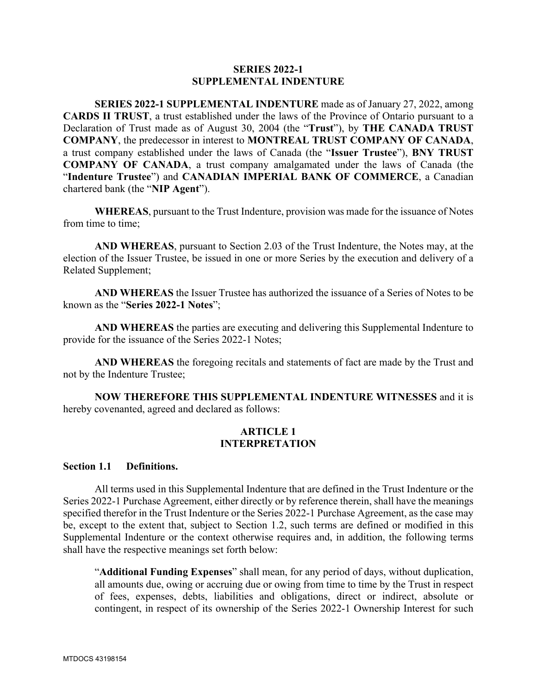#### **SERIES 2022-1 SUPPLEMENTAL INDENTURE**

**SERIES 2022-1 SUPPLEMENTAL INDENTURE** made as of January 27, 2022, among **CARDS II TRUST**, a trust established under the laws of the Province of Ontario pursuant to a Declaration of Trust made as of August 30, 2004 (the "**Trust**"), by **THE CANADA TRUST COMPANY**, the predecessor in interest to **MONTREAL TRUST COMPANY OF CANADA**, a trust company established under the laws of Canada (the "**Issuer Trustee**"), **BNY TRUST COMPANY OF CANADA**, a trust company amalgamated under the laws of Canada (the "**Indenture Trustee**") and **CANADIAN IMPERIAL BANK OF COMMERCE**, a Canadian chartered bank (the "**NIP Agent**").

**WHEREAS**, pursuant to the Trust Indenture, provision was made for the issuance of Notes from time to time;

**AND WHEREAS**, pursuant to Section 2.03 of the Trust Indenture, the Notes may, at the election of the Issuer Trustee, be issued in one or more Series by the execution and delivery of a Related Supplement;

**AND WHEREAS** the Issuer Trustee has authorized the issuance of a Series of Notes to be known as the "**Series 2022-1 Notes**";

**AND WHEREAS** the parties are executing and delivering this Supplemental Indenture to provide for the issuance of the Series 2022-1 Notes;

**AND WHEREAS** the foregoing recitals and statements of fact are made by the Trust and not by the Indenture Trustee;

**NOW THEREFORE THIS SUPPLEMENTAL INDENTURE WITNESSES** and it is hereby covenanted, agreed and declared as follows:

#### **ARTICLE 1 INTERPRETATION**

#### **Section 1.1 Definitions.**

All terms used in this Supplemental Indenture that are defined in the Trust Indenture or the Series 2022-1 Purchase Agreement, either directly or by reference therein, shall have the meanings specified therefor in the Trust Indenture or the Series 2022-1 Purchase Agreement, as the case may be, except to the extent that, subject to Section 1.2, such terms are defined or modified in this Supplemental Indenture or the context otherwise requires and, in addition, the following terms shall have the respective meanings set forth below:

"**Additional Funding Expenses**" shall mean, for any period of days, without duplication, all amounts due, owing or accruing due or owing from time to time by the Trust in respect of fees, expenses, debts, liabilities and obligations, direct or indirect, absolute or contingent, in respect of its ownership of the Series 2022-1 Ownership Interest for such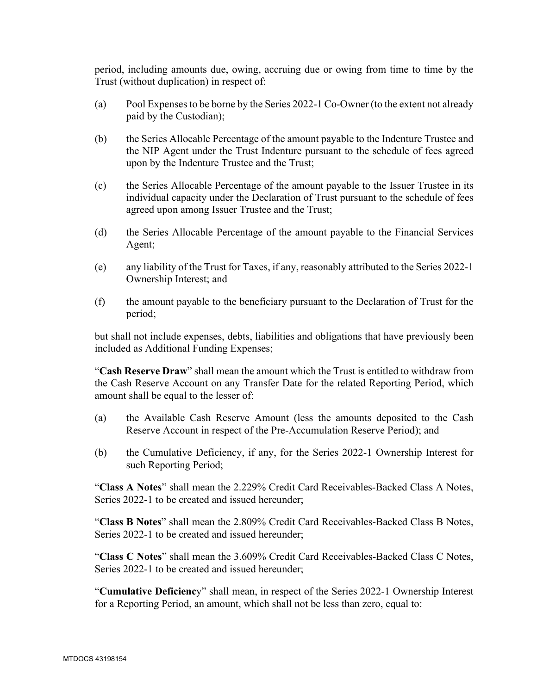period, including amounts due, owing, accruing due or owing from time to time by the Trust (without duplication) in respect of:

- (a) Pool Expenses to be borne by the Series 2022-1 Co-Owner (to the extent not already paid by the Custodian);
- (b) the Series Allocable Percentage of the amount payable to the Indenture Trustee and the NIP Agent under the Trust Indenture pursuant to the schedule of fees agreed upon by the Indenture Trustee and the Trust;
- (c) the Series Allocable Percentage of the amount payable to the Issuer Trustee in its individual capacity under the Declaration of Trust pursuant to the schedule of fees agreed upon among Issuer Trustee and the Trust;
- (d) the Series Allocable Percentage of the amount payable to the Financial Services Agent;
- (e) any liability of the Trust for Taxes, if any, reasonably attributed to the Series 2022-1 Ownership Interest; and
- (f) the amount payable to the beneficiary pursuant to the Declaration of Trust for the period;

but shall not include expenses, debts, liabilities and obligations that have previously been included as Additional Funding Expenses;

"**Cash Reserve Draw**" shall mean the amount which the Trust is entitled to withdraw from the Cash Reserve Account on any Transfer Date for the related Reporting Period, which amount shall be equal to the lesser of:

- (a) the Available Cash Reserve Amount (less the amounts deposited to the Cash Reserve Account in respect of the Pre-Accumulation Reserve Period); and
- (b) the Cumulative Deficiency, if any, for the Series 2022-1 Ownership Interest for such Reporting Period;

"**Class A Notes**" shall mean the 2.229% Credit Card Receivables-Backed Class A Notes, Series 2022-1 to be created and issued hereunder;

"**Class B Notes**" shall mean the 2.809% Credit Card Receivables-Backed Class B Notes, Series 2022-1 to be created and issued hereunder;

"**Class C Notes**" shall mean the 3.609% Credit Card Receivables-Backed Class C Notes, Series 2022-1 to be created and issued hereunder;

"**Cumulative Deficienc**y" shall mean, in respect of the Series 2022-1 Ownership Interest for a Reporting Period, an amount, which shall not be less than zero, equal to: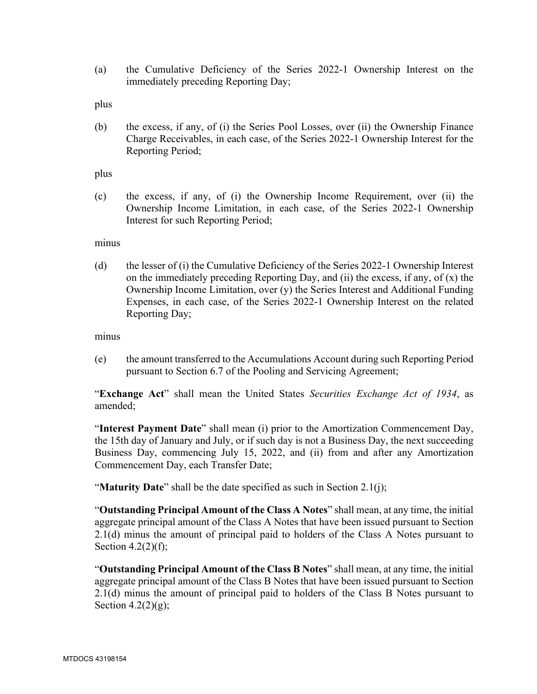(a) the Cumulative Deficiency of the Series 2022-1 Ownership Interest on the immediately preceding Reporting Day;

plus

(b) the excess, if any, of (i) the Series Pool Losses, over (ii) the Ownership Finance Charge Receivables, in each case, of the Series 2022-1 Ownership Interest for the Reporting Period;

plus

(c) the excess, if any, of (i) the Ownership Income Requirement, over (ii) the Ownership Income Limitation, in each case, of the Series 2022-1 Ownership Interest for such Reporting Period;

minus

(d) the lesser of (i) the Cumulative Deficiency of the Series 2022-1 Ownership Interest on the immediately preceding Reporting Day, and (ii) the excess, if any, of (x) the Ownership Income Limitation, over (y) the Series Interest and Additional Funding Expenses, in each case, of the Series 2022-1 Ownership Interest on the related Reporting Day;

minus

(e) the amount transferred to the Accumulations Account during such Reporting Period pursuant to Section 6.7 of the Pooling and Servicing Agreement;

"**Exchange Act**" shall mean the United States *Securities Exchange Act of 1934*, as amended;

"**Interest Payment Date**" shall mean (i) prior to the Amortization Commencement Day, the 15th day of January and July, or if such day is not a Business Day, the next succeeding Business Day, commencing July 15, 2022, and (ii) from and after any Amortization Commencement Day, each Transfer Date;

"**Maturity Date**" shall be the date specified as such in Section 2.1(j);

"**Outstanding Principal Amount of the Class A Notes**" shall mean, at any time, the initial aggregate principal amount of the Class A Notes that have been issued pursuant to Section 2.1(d) minus the amount of principal paid to holders of the Class A Notes pursuant to Section 4.2(2)(f);

"**Outstanding Principal Amount of the Class B Notes**" shall mean, at any time, the initial aggregate principal amount of the Class B Notes that have been issued pursuant to Section 2.1(d) minus the amount of principal paid to holders of the Class B Notes pursuant to Section 4.2 $(2)(g)$ ;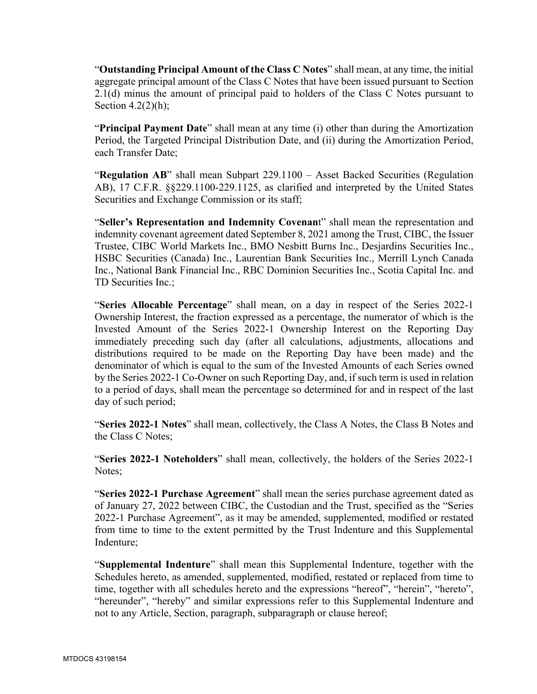"**Outstanding Principal Amount of the Class C Notes**" shall mean, at any time, the initial aggregate principal amount of the Class C Notes that have been issued pursuant to Section 2.1(d) minus the amount of principal paid to holders of the Class C Notes pursuant to Section  $4.2(2)(h)$ ;

"**Principal Payment Date**" shall mean at any time (i) other than during the Amortization Period, the Targeted Principal Distribution Date, and (ii) during the Amortization Period, each Transfer Date;

"**Regulation AB**" shall mean Subpart 229.1100 – Asset Backed Securities (Regulation AB), 17 C.F.R. §§229.1100-229.1125, as clarified and interpreted by the United States Securities and Exchange Commission or its staff;

"**Seller's Representation and Indemnity Covenan**t" shall mean the representation and indemnity covenant agreement dated September 8, 2021 among the Trust, CIBC, the Issuer Trustee, CIBC World Markets Inc., BMO Nesbitt Burns Inc., Desjardins Securities Inc., HSBC Securities (Canada) Inc., Laurentian Bank Securities Inc., Merrill Lynch Canada Inc., National Bank Financial Inc., RBC Dominion Securities Inc., Scotia Capital Inc. and TD Securities Inc.;

"**Series Allocable Percentage**" shall mean, on a day in respect of the Series 2022-1 Ownership Interest, the fraction expressed as a percentage, the numerator of which is the Invested Amount of the Series 2022-1 Ownership Interest on the Reporting Day immediately preceding such day (after all calculations, adjustments, allocations and distributions required to be made on the Reporting Day have been made) and the denominator of which is equal to the sum of the Invested Amounts of each Series owned by the Series 2022-1 Co-Owner on such Reporting Day, and, if such term is used in relation to a period of days, shall mean the percentage so determined for and in respect of the last day of such period;

"**Series 2022-1 Notes**" shall mean, collectively, the Class A Notes, the Class B Notes and the Class C Notes;

"**Series 2022-1 Noteholders**" shall mean, collectively, the holders of the Series 2022-1 Notes;

"**Series 2022-1 Purchase Agreement**" shall mean the series purchase agreement dated as of January 27, 2022 between CIBC, the Custodian and the Trust, specified as the "Series 2022-1 Purchase Agreement", as it may be amended, supplemented, modified or restated from time to time to the extent permitted by the Trust Indenture and this Supplemental Indenture;

"**Supplemental Indenture**" shall mean this Supplemental Indenture, together with the Schedules hereto, as amended, supplemented, modified, restated or replaced from time to time, together with all schedules hereto and the expressions "hereof", "herein", "hereto", "hereunder", "hereby" and similar expressions refer to this Supplemental Indenture and not to any Article, Section, paragraph, subparagraph or clause hereof;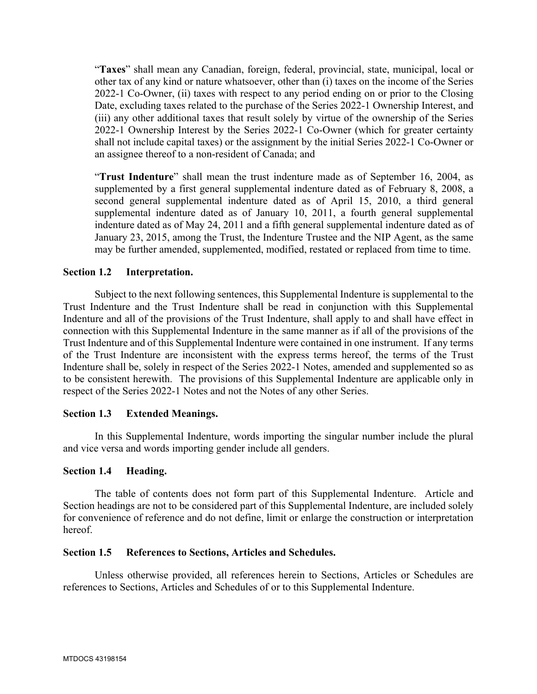"**Taxes**" shall mean any Canadian, foreign, federal, provincial, state, municipal, local or other tax of any kind or nature whatsoever, other than (i) taxes on the income of the Series 2022-1 Co-Owner, (ii) taxes with respect to any period ending on or prior to the Closing Date, excluding taxes related to the purchase of the Series 2022-1 Ownership Interest, and (iii) any other additional taxes that result solely by virtue of the ownership of the Series 2022-1 Ownership Interest by the Series 2022-1 Co-Owner (which for greater certainty shall not include capital taxes) or the assignment by the initial Series 2022-1 Co-Owner or an assignee thereof to a non-resident of Canada; and

"**Trust Indenture**" shall mean the trust indenture made as of September 16, 2004, as supplemented by a first general supplemental indenture dated as of February 8, 2008, a second general supplemental indenture dated as of April 15, 2010, a third general supplemental indenture dated as of January 10, 2011, a fourth general supplemental indenture dated as of May 24, 2011 and a fifth general supplemental indenture dated as of January 23, 2015, among the Trust, the Indenture Trustee and the NIP Agent, as the same may be further amended, supplemented, modified, restated or replaced from time to time.

### **Section 1.2 Interpretation.**

Subject to the next following sentences, this Supplemental Indenture is supplemental to the Trust Indenture and the Trust Indenture shall be read in conjunction with this Supplemental Indenture and all of the provisions of the Trust Indenture, shall apply to and shall have effect in connection with this Supplemental Indenture in the same manner as if all of the provisions of the Trust Indenture and of this Supplemental Indenture were contained in one instrument. If any terms of the Trust Indenture are inconsistent with the express terms hereof, the terms of the Trust Indenture shall be, solely in respect of the Series 2022-1 Notes, amended and supplemented so as to be consistent herewith. The provisions of this Supplemental Indenture are applicable only in respect of the Series 2022-1 Notes and not the Notes of any other Series.

#### **Section 1.3 Extended Meanings.**

In this Supplemental Indenture, words importing the singular number include the plural and vice versa and words importing gender include all genders.

#### **Section 1.4 Heading.**

The table of contents does not form part of this Supplemental Indenture. Article and Section headings are not to be considered part of this Supplemental Indenture, are included solely for convenience of reference and do not define, limit or enlarge the construction or interpretation hereof.

#### **Section 1.5 References to Sections, Articles and Schedules.**

Unless otherwise provided, all references herein to Sections, Articles or Schedules are references to Sections, Articles and Schedules of or to this Supplemental Indenture.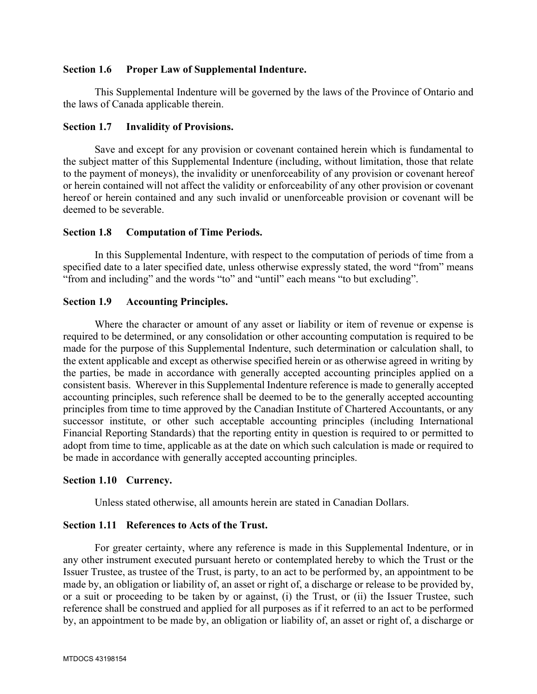### **Section 1.6 Proper Law of Supplemental Indenture.**

This Supplemental Indenture will be governed by the laws of the Province of Ontario and the laws of Canada applicable therein.

#### **Section 1.7 Invalidity of Provisions.**

Save and except for any provision or covenant contained herein which is fundamental to the subject matter of this Supplemental Indenture (including, without limitation, those that relate to the payment of moneys), the invalidity or unenforceability of any provision or covenant hereof or herein contained will not affect the validity or enforceability of any other provision or covenant hereof or herein contained and any such invalid or unenforceable provision or covenant will be deemed to be severable.

#### **Section 1.8 Computation of Time Periods.**

In this Supplemental Indenture, with respect to the computation of periods of time from a specified date to a later specified date, unless otherwise expressly stated, the word "from" means "from and including" and the words "to" and "until" each means "to but excluding".

### **Section 1.9 Accounting Principles.**

Where the character or amount of any asset or liability or item of revenue or expense is required to be determined, or any consolidation or other accounting computation is required to be made for the purpose of this Supplemental Indenture, such determination or calculation shall, to the extent applicable and except as otherwise specified herein or as otherwise agreed in writing by the parties, be made in accordance with generally accepted accounting principles applied on a consistent basis. Wherever in this Supplemental Indenture reference is made to generally accepted accounting principles, such reference shall be deemed to be to the generally accepted accounting principles from time to time approved by the Canadian Institute of Chartered Accountants, or any successor institute, or other such acceptable accounting principles (including International Financial Reporting Standards) that the reporting entity in question is required to or permitted to adopt from time to time, applicable as at the date on which such calculation is made or required to be made in accordance with generally accepted accounting principles.

### **Section 1.10 Currency.**

Unless stated otherwise, all amounts herein are stated in Canadian Dollars.

### **Section 1.11 References to Acts of the Trust.**

For greater certainty, where any reference is made in this Supplemental Indenture, or in any other instrument executed pursuant hereto or contemplated hereby to which the Trust or the Issuer Trustee, as trustee of the Trust, is party, to an act to be performed by, an appointment to be made by, an obligation or liability of, an asset or right of, a discharge or release to be provided by, or a suit or proceeding to be taken by or against, (i) the Trust, or (ii) the Issuer Trustee, such reference shall be construed and applied for all purposes as if it referred to an act to be performed by, an appointment to be made by, an obligation or liability of, an asset or right of, a discharge or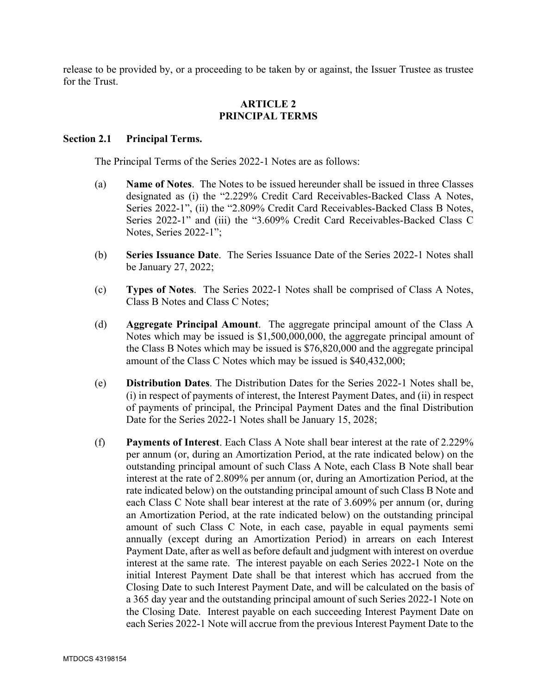release to be provided by, or a proceeding to be taken by or against, the Issuer Trustee as trustee for the Trust.

### **ARTICLE 2 PRINCIPAL TERMS**

#### **Section 2.1 Principal Terms.**

The Principal Terms of the Series 2022-1 Notes are as follows:

- (a) **Name of Notes**. The Notes to be issued hereunder shall be issued in three Classes designated as (i) the "2.229% Credit Card Receivables-Backed Class A Notes, Series 2022-1", (ii) the "2.809% Credit Card Receivables-Backed Class B Notes, Series 2022-1" and (iii) the "3.609% Credit Card Receivables-Backed Class C Notes, Series 2022-1";
- (b) **Series Issuance Date**. The Series Issuance Date of the Series 2022-1 Notes shall be January 27, 2022;
- (c) **Types of Notes**. The Series 2022-1 Notes shall be comprised of Class A Notes, Class B Notes and Class C Notes;
- (d) **Aggregate Principal Amount**. The aggregate principal amount of the Class A Notes which may be issued is \$1,500,000,000, the aggregate principal amount of the Class B Notes which may be issued is \$76,820,000 and the aggregate principal amount of the Class C Notes which may be issued is \$40,432,000;
- (e) **Distribution Dates**. The Distribution Dates for the Series 2022-1 Notes shall be, (i) in respect of payments of interest, the Interest Payment Dates, and (ii) in respect of payments of principal, the Principal Payment Dates and the final Distribution Date for the Series 2022-1 Notes shall be January 15, 2028;
- (f) **Payments of Interest**. Each Class A Note shall bear interest at the rate of 2.229% per annum (or, during an Amortization Period, at the rate indicated below) on the outstanding principal amount of such Class A Note, each Class B Note shall bear interest at the rate of 2.809% per annum (or, during an Amortization Period, at the rate indicated below) on the outstanding principal amount of such Class B Note and each Class C Note shall bear interest at the rate of 3.609% per annum (or, during an Amortization Period, at the rate indicated below) on the outstanding principal amount of such Class C Note, in each case, payable in equal payments semi annually (except during an Amortization Period) in arrears on each Interest Payment Date, after as well as before default and judgment with interest on overdue interest at the same rate. The interest payable on each Series 2022-1 Note on the initial Interest Payment Date shall be that interest which has accrued from the Closing Date to such Interest Payment Date, and will be calculated on the basis of a 365 day year and the outstanding principal amount of such Series 2022-1 Note on the Closing Date. Interest payable on each succeeding Interest Payment Date on each Series 2022-1 Note will accrue from the previous Interest Payment Date to the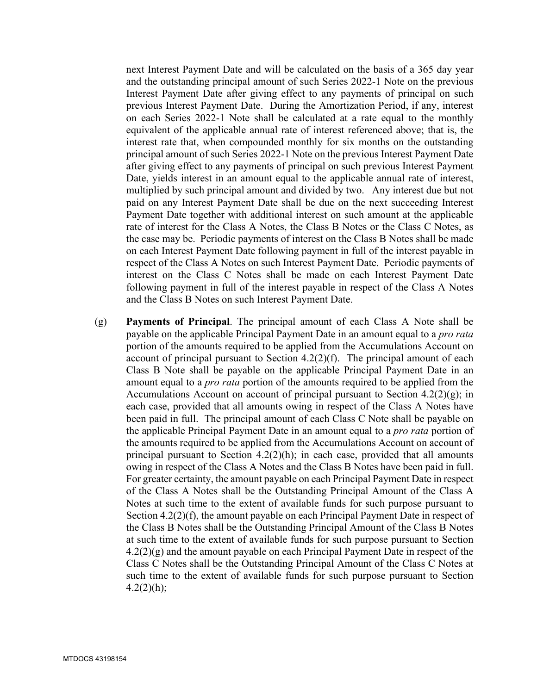next Interest Payment Date and will be calculated on the basis of a 365 day year and the outstanding principal amount of such Series 2022-1 Note on the previous Interest Payment Date after giving effect to any payments of principal on such previous Interest Payment Date. During the Amortization Period, if any, interest on each Series 2022-1 Note shall be calculated at a rate equal to the monthly equivalent of the applicable annual rate of interest referenced above; that is, the interest rate that, when compounded monthly for six months on the outstanding principal amount of such Series 2022-1 Note on the previous Interest Payment Date after giving effect to any payments of principal on such previous Interest Payment Date, yields interest in an amount equal to the applicable annual rate of interest, multiplied by such principal amount and divided by two. Any interest due but not paid on any Interest Payment Date shall be due on the next succeeding Interest Payment Date together with additional interest on such amount at the applicable rate of interest for the Class A Notes, the Class B Notes or the Class C Notes, as the case may be. Periodic payments of interest on the Class B Notes shall be made on each Interest Payment Date following payment in full of the interest payable in respect of the Class A Notes on such Interest Payment Date. Periodic payments of interest on the Class C Notes shall be made on each Interest Payment Date following payment in full of the interest payable in respect of the Class A Notes and the Class B Notes on such Interest Payment Date.

(g) **Payments of Principal**. The principal amount of each Class A Note shall be payable on the applicable Principal Payment Date in an amount equal to a *pro rata* portion of the amounts required to be applied from the Accumulations Account on account of principal pursuant to Section 4.2(2)(f). The principal amount of each Class B Note shall be payable on the applicable Principal Payment Date in an amount equal to a *pro rata* portion of the amounts required to be applied from the Accumulations Account on account of principal pursuant to Section  $4.2(2)(g)$ ; in each case, provided that all amounts owing in respect of the Class A Notes have been paid in full. The principal amount of each Class C Note shall be payable on the applicable Principal Payment Date in an amount equal to a *pro rata* portion of the amounts required to be applied from the Accumulations Account on account of principal pursuant to Section 4.2(2)(h); in each case, provided that all amounts owing in respect of the Class A Notes and the Class B Notes have been paid in full. For greater certainty, the amount payable on each Principal Payment Date in respect of the Class A Notes shall be the Outstanding Principal Amount of the Class A Notes at such time to the extent of available funds for such purpose pursuant to Section 4.2(2)(f), the amount payable on each Principal Payment Date in respect of the Class B Notes shall be the Outstanding Principal Amount of the Class B Notes at such time to the extent of available funds for such purpose pursuant to Section 4.2(2)(g) and the amount payable on each Principal Payment Date in respect of the Class C Notes shall be the Outstanding Principal Amount of the Class C Notes at such time to the extent of available funds for such purpose pursuant to Section  $4.2(2)(h);$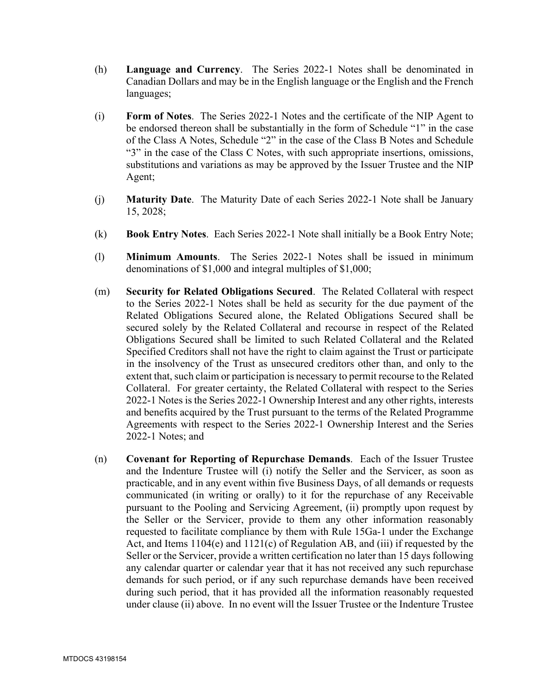- (h) **Language and Currency**. The Series 2022-1 Notes shall be denominated in Canadian Dollars and may be in the English language or the English and the French languages;
- (i) **Form of Notes**. The Series 2022-1 Notes and the certificate of the NIP Agent to be endorsed thereon shall be substantially in the form of Schedule "1" in the case of the Class A Notes, Schedule "2" in the case of the Class B Notes and Schedule "3" in the case of the Class C Notes, with such appropriate insertions, omissions, substitutions and variations as may be approved by the Issuer Trustee and the NIP Agent;
- (j) **Maturity Date**. The Maturity Date of each Series 2022-1 Note shall be January 15, 2028;
- (k) **Book Entry Notes**. Each Series 2022-1 Note shall initially be a Book Entry Note;
- (l) **Minimum Amounts**. The Series 2022-1 Notes shall be issued in minimum denominations of \$1,000 and integral multiples of \$1,000;
- (m) **Security for Related Obligations Secured**. The Related Collateral with respect to the Series 2022-1 Notes shall be held as security for the due payment of the Related Obligations Secured alone, the Related Obligations Secured shall be secured solely by the Related Collateral and recourse in respect of the Related Obligations Secured shall be limited to such Related Collateral and the Related Specified Creditors shall not have the right to claim against the Trust or participate in the insolvency of the Trust as unsecured creditors other than, and only to the extent that, such claim or participation is necessary to permit recourse to the Related Collateral. For greater certainty, the Related Collateral with respect to the Series 2022-1 Notes is the Series 2022-1 Ownership Interest and any other rights, interests and benefits acquired by the Trust pursuant to the terms of the Related Programme Agreements with respect to the Series 2022-1 Ownership Interest and the Series 2022-1 Notes; and
- (n) **Covenant for Reporting of Repurchase Demands**. Each of the Issuer Trustee and the Indenture Trustee will (i) notify the Seller and the Servicer, as soon as practicable, and in any event within five Business Days, of all demands or requests communicated (in writing or orally) to it for the repurchase of any Receivable pursuant to the Pooling and Servicing Agreement, (ii) promptly upon request by the Seller or the Servicer, provide to them any other information reasonably requested to facilitate compliance by them with Rule 15Ga-1 under the Exchange Act, and Items 1104(e) and 1121(c) of Regulation AB, and (iii) if requested by the Seller or the Servicer, provide a written certification no later than 15 days following any calendar quarter or calendar year that it has not received any such repurchase demands for such period, or if any such repurchase demands have been received during such period, that it has provided all the information reasonably requested under clause (ii) above. In no event will the Issuer Trustee or the Indenture Trustee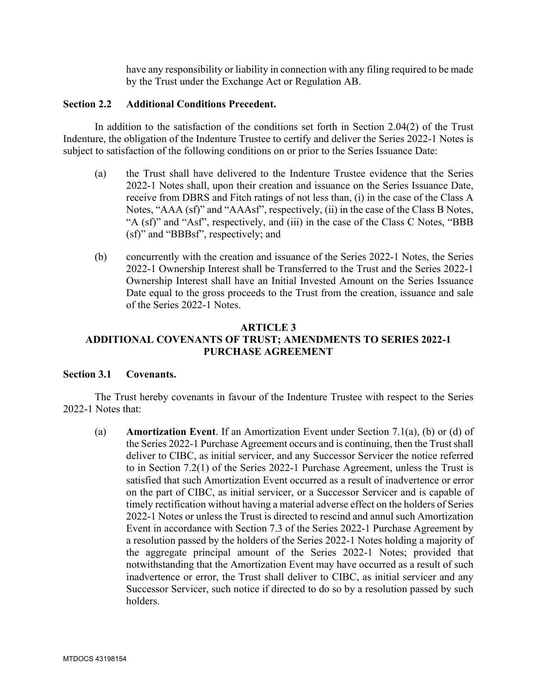have any responsibility or liability in connection with any filing required to be made by the Trust under the Exchange Act or Regulation AB.

### **Section 2.2 Additional Conditions Precedent.**

In addition to the satisfaction of the conditions set forth in Section 2.04(2) of the Trust Indenture, the obligation of the Indenture Trustee to certify and deliver the Series 2022-1 Notes is subject to satisfaction of the following conditions on or prior to the Series Issuance Date:

- (a) the Trust shall have delivered to the Indenture Trustee evidence that the Series 2022-1 Notes shall, upon their creation and issuance on the Series Issuance Date, receive from DBRS and Fitch ratings of not less than, (i) in the case of the Class A Notes, "AAA (sf)" and "AAAsf", respectively, (ii) in the case of the Class B Notes, "A (sf)" and "Asf", respectively, and (iii) in the case of the Class C Notes, "BBB (sf)" and "BBBsf", respectively; and
- (b) concurrently with the creation and issuance of the Series 2022-1 Notes, the Series 2022-1 Ownership Interest shall be Transferred to the Trust and the Series 2022-1 Ownership Interest shall have an Initial Invested Amount on the Series Issuance Date equal to the gross proceeds to the Trust from the creation, issuance and sale of the Series 2022-1 Notes.

# **ARTICLE 3 ADDITIONAL COVENANTS OF TRUST; AMENDMENTS TO SERIES 2022-1 PURCHASE AGREEMENT**

#### **Section 3.1 Covenants.**

The Trust hereby covenants in favour of the Indenture Trustee with respect to the Series 2022-1 Notes that:

(a) **Amortization Event**. If an Amortization Event under Section 7.1(a), (b) or (d) of the Series 2022-1 Purchase Agreement occurs and is continuing, then the Trust shall deliver to CIBC, as initial servicer, and any Successor Servicer the notice referred to in Section 7.2(1) of the Series 2022-1 Purchase Agreement, unless the Trust is satisfied that such Amortization Event occurred as a result of inadvertence or error on the part of CIBC, as initial servicer, or a Successor Servicer and is capable of timely rectification without having a material adverse effect on the holders of Series 2022-1 Notes or unless the Trust is directed to rescind and annul such Amortization Event in accordance with Section 7.3 of the Series 2022-1 Purchase Agreement by a resolution passed by the holders of the Series 2022-1 Notes holding a majority of the aggregate principal amount of the Series 2022-1 Notes; provided that notwithstanding that the Amortization Event may have occurred as a result of such inadvertence or error, the Trust shall deliver to CIBC, as initial servicer and any Successor Servicer, such notice if directed to do so by a resolution passed by such holders.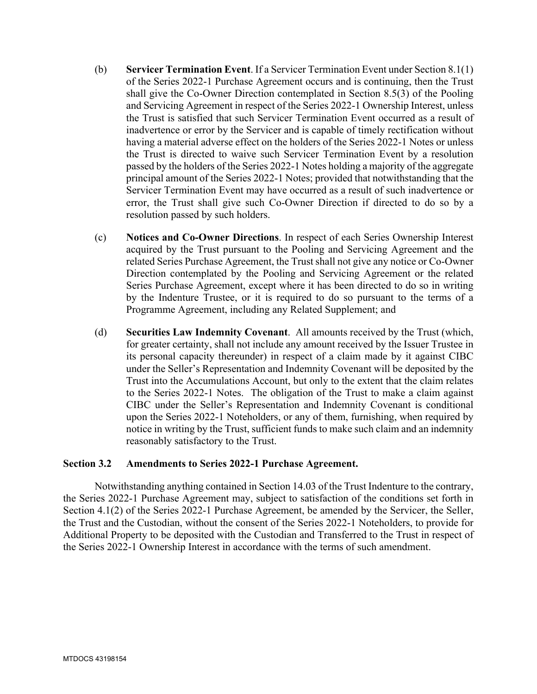- (b) **Servicer Termination Event**. If a Servicer Termination Event under Section 8.1(1) of the Series 2022-1 Purchase Agreement occurs and is continuing, then the Trust shall give the Co-Owner Direction contemplated in Section 8.5(3) of the Pooling and Servicing Agreement in respect of the Series 2022-1 Ownership Interest, unless the Trust is satisfied that such Servicer Termination Event occurred as a result of inadvertence or error by the Servicer and is capable of timely rectification without having a material adverse effect on the holders of the Series 2022-1 Notes or unless the Trust is directed to waive such Servicer Termination Event by a resolution passed by the holders of the Series 2022-1 Notes holding a majority of the aggregate principal amount of the Series 2022-1 Notes; provided that notwithstanding that the Servicer Termination Event may have occurred as a result of such inadvertence or error, the Trust shall give such Co-Owner Direction if directed to do so by a resolution passed by such holders.
- (c) **Notices and Co-Owner Directions**. In respect of each Series Ownership Interest acquired by the Trust pursuant to the Pooling and Servicing Agreement and the related Series Purchase Agreement, the Trust shall not give any notice or Co-Owner Direction contemplated by the Pooling and Servicing Agreement or the related Series Purchase Agreement, except where it has been directed to do so in writing by the Indenture Trustee, or it is required to do so pursuant to the terms of a Programme Agreement, including any Related Supplement; and
- (d) **Securities Law Indemnity Covenant**. All amounts received by the Trust (which, for greater certainty, shall not include any amount received by the Issuer Trustee in its personal capacity thereunder) in respect of a claim made by it against CIBC under the Seller's Representation and Indemnity Covenant will be deposited by the Trust into the Accumulations Account, but only to the extent that the claim relates to the Series 2022-1 Notes. The obligation of the Trust to make a claim against CIBC under the Seller's Representation and Indemnity Covenant is conditional upon the Series 2022-1 Noteholders, or any of them, furnishing, when required by notice in writing by the Trust, sufficient funds to make such claim and an indemnity reasonably satisfactory to the Trust.

#### **Section 3.2 Amendments to Series 2022-1 Purchase Agreement.**

Notwithstanding anything contained in Section 14.03 of the Trust Indenture to the contrary, the Series 2022-1 Purchase Agreement may, subject to satisfaction of the conditions set forth in Section 4.1(2) of the Series 2022-1 Purchase Agreement, be amended by the Servicer, the Seller, the Trust and the Custodian, without the consent of the Series 2022-1 Noteholders, to provide for Additional Property to be deposited with the Custodian and Transferred to the Trust in respect of the Series 2022-1 Ownership Interest in accordance with the terms of such amendment.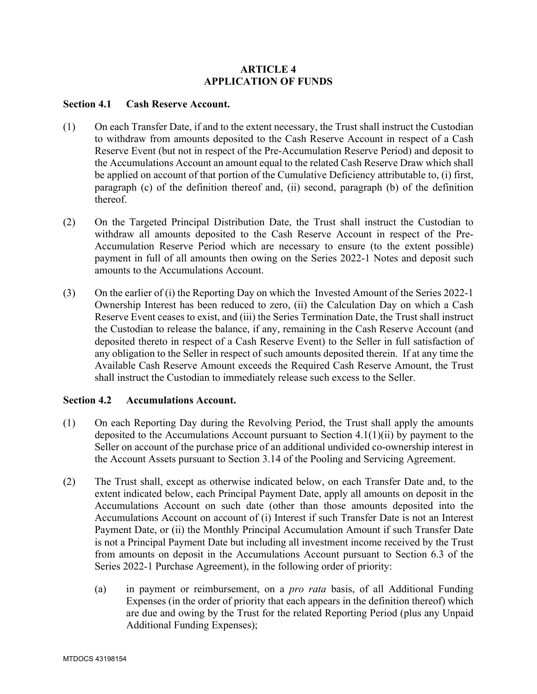## **ARTICLE 4 APPLICATION OF FUNDS**

#### **Section 4.1 Cash Reserve Account.**

- (1) On each Transfer Date, if and to the extent necessary, the Trust shall instruct the Custodian to withdraw from amounts deposited to the Cash Reserve Account in respect of a Cash Reserve Event (but not in respect of the Pre-Accumulation Reserve Period) and deposit to the Accumulations Account an amount equal to the related Cash Reserve Draw which shall be applied on account of that portion of the Cumulative Deficiency attributable to, (i) first, paragraph (c) of the definition thereof and, (ii) second, paragraph (b) of the definition thereof.
- (2) On the Targeted Principal Distribution Date, the Trust shall instruct the Custodian to withdraw all amounts deposited to the Cash Reserve Account in respect of the Pre-Accumulation Reserve Period which are necessary to ensure (to the extent possible) payment in full of all amounts then owing on the Series 2022-1 Notes and deposit such amounts to the Accumulations Account.
- (3) On the earlier of (i) the Reporting Day on which the Invested Amount of the Series 2022-1 Ownership Interest has been reduced to zero, (ii) the Calculation Day on which a Cash Reserve Event ceases to exist, and (iii) the Series Termination Date, the Trust shall instruct the Custodian to release the balance, if any, remaining in the Cash Reserve Account (and deposited thereto in respect of a Cash Reserve Event) to the Seller in full satisfaction of any obligation to the Seller in respect of such amounts deposited therein. If at any time the Available Cash Reserve Amount exceeds the Required Cash Reserve Amount, the Trust shall instruct the Custodian to immediately release such excess to the Seller.

### **Section 4.2 Accumulations Account.**

- (1) On each Reporting Day during the Revolving Period, the Trust shall apply the amounts deposited to the Accumulations Account pursuant to Section 4.1(1)(ii) by payment to the Seller on account of the purchase price of an additional undivided co-ownership interest in the Account Assets pursuant to Section 3.14 of the Pooling and Servicing Agreement.
- (2) The Trust shall, except as otherwise indicated below, on each Transfer Date and, to the extent indicated below, each Principal Payment Date, apply all amounts on deposit in the Accumulations Account on such date (other than those amounts deposited into the Accumulations Account on account of (i) Interest if such Transfer Date is not an Interest Payment Date, or (ii) the Monthly Principal Accumulation Amount if such Transfer Date is not a Principal Payment Date but including all investment income received by the Trust from amounts on deposit in the Accumulations Account pursuant to Section 6.3 of the Series 2022-1 Purchase Agreement), in the following order of priority:
	- (a) in payment or reimbursement, on a *pro rata* basis, of all Additional Funding Expenses (in the order of priority that each appears in the definition thereof) which are due and owing by the Trust for the related Reporting Period (plus any Unpaid Additional Funding Expenses);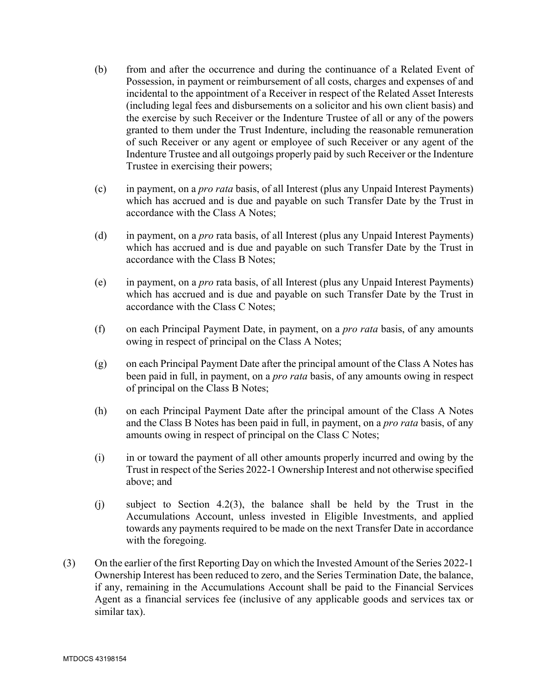- (b) from and after the occurrence and during the continuance of a Related Event of Possession, in payment or reimbursement of all costs, charges and expenses of and incidental to the appointment of a Receiver in respect of the Related Asset Interests (including legal fees and disbursements on a solicitor and his own client basis) and the exercise by such Receiver or the Indenture Trustee of all or any of the powers granted to them under the Trust Indenture, including the reasonable remuneration of such Receiver or any agent or employee of such Receiver or any agent of the Indenture Trustee and all outgoings properly paid by such Receiver or the Indenture Trustee in exercising their powers;
- (c) in payment, on a *pro rata* basis, of all Interest (plus any Unpaid Interest Payments) which has accrued and is due and payable on such Transfer Date by the Trust in accordance with the Class A Notes;
- (d) in payment, on a *pro* rata basis, of all Interest (plus any Unpaid Interest Payments) which has accrued and is due and payable on such Transfer Date by the Trust in accordance with the Class B Notes;
- (e) in payment, on a *pro* rata basis, of all Interest (plus any Unpaid Interest Payments) which has accrued and is due and payable on such Transfer Date by the Trust in accordance with the Class C Notes;
- (f) on each Principal Payment Date, in payment, on a *pro rata* basis, of any amounts owing in respect of principal on the Class A Notes;
- (g) on each Principal Payment Date after the principal amount of the Class A Notes has been paid in full, in payment, on a *pro rata* basis, of any amounts owing in respect of principal on the Class B Notes;
- (h) on each Principal Payment Date after the principal amount of the Class A Notes and the Class B Notes has been paid in full, in payment, on a *pro rata* basis, of any amounts owing in respect of principal on the Class C Notes;
- (i) in or toward the payment of all other amounts properly incurred and owing by the Trust in respect of the Series 2022-1 Ownership Interest and not otherwise specified above; and
- (j) subject to Section 4.2(3), the balance shall be held by the Trust in the Accumulations Account, unless invested in Eligible Investments, and applied towards any payments required to be made on the next Transfer Date in accordance with the foregoing.
- (3) On the earlier of the first Reporting Day on which the Invested Amount of the Series 2022-1 Ownership Interest has been reduced to zero, and the Series Termination Date, the balance, if any, remaining in the Accumulations Account shall be paid to the Financial Services Agent as a financial services fee (inclusive of any applicable goods and services tax or similar tax).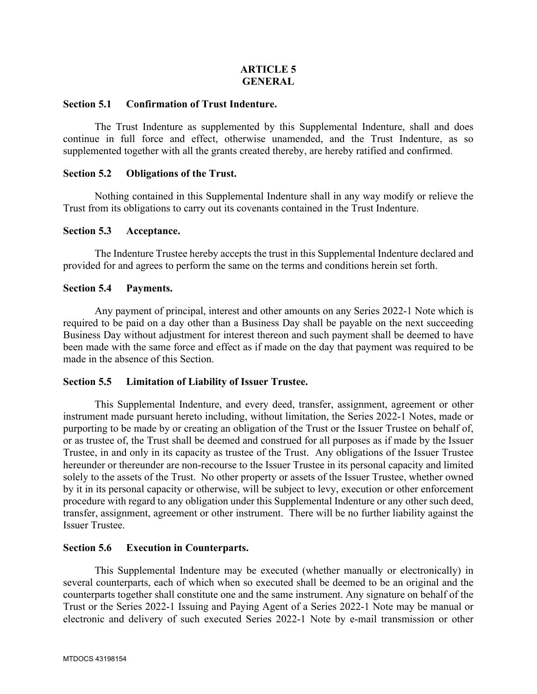## **ARTICLE 5 GENERAL**

#### **Section 5.1 Confirmation of Trust Indenture.**

The Trust Indenture as supplemented by this Supplemental Indenture, shall and does continue in full force and effect, otherwise unamended, and the Trust Indenture, as so supplemented together with all the grants created thereby, are hereby ratified and confirmed.

#### **Section 5.2 Obligations of the Trust.**

Nothing contained in this Supplemental Indenture shall in any way modify or relieve the Trust from its obligations to carry out its covenants contained in the Trust Indenture.

### **Section 5.3 Acceptance.**

The Indenture Trustee hereby accepts the trust in this Supplemental Indenture declared and provided for and agrees to perform the same on the terms and conditions herein set forth.

#### **Section 5.4 Payments.**

Any payment of principal, interest and other amounts on any Series 2022-1 Note which is required to be paid on a day other than a Business Day shall be payable on the next succeeding Business Day without adjustment for interest thereon and such payment shall be deemed to have been made with the same force and effect as if made on the day that payment was required to be made in the absence of this Section.

### **Section 5.5 Limitation of Liability of Issuer Trustee.**

This Supplemental Indenture, and every deed, transfer, assignment, agreement or other instrument made pursuant hereto including, without limitation, the Series 2022-1 Notes, made or purporting to be made by or creating an obligation of the Trust or the Issuer Trustee on behalf of, or as trustee of, the Trust shall be deemed and construed for all purposes as if made by the Issuer Trustee, in and only in its capacity as trustee of the Trust. Any obligations of the Issuer Trustee hereunder or thereunder are non-recourse to the Issuer Trustee in its personal capacity and limited solely to the assets of the Trust. No other property or assets of the Issuer Trustee, whether owned by it in its personal capacity or otherwise, will be subject to levy, execution or other enforcement procedure with regard to any obligation under this Supplemental Indenture or any other such deed, transfer, assignment, agreement or other instrument. There will be no further liability against the Issuer Trustee.

### **Section 5.6 Execution in Counterparts.**

This Supplemental Indenture may be executed (whether manually or electronically) in several counterparts, each of which when so executed shall be deemed to be an original and the counterparts together shall constitute one and the same instrument. Any signature on behalf of the Trust or the Series 2022-1 Issuing and Paying Agent of a Series 2022-1 Note may be manual or electronic and delivery of such executed Series 2022-1 Note by e-mail transmission or other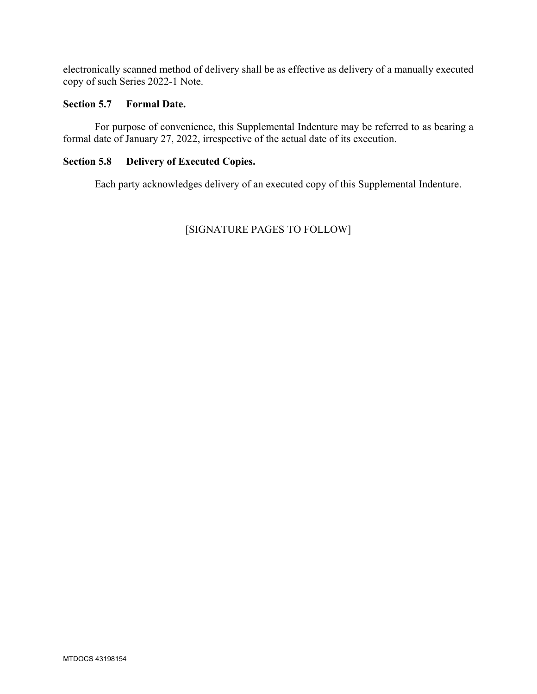electronically scanned method of delivery shall be as effective as delivery of a manually executed copy of such Series 2022-1 Note.

## **Section 5.7 Formal Date.**

For purpose of convenience, this Supplemental Indenture may be referred to as bearing a formal date of January 27, 2022, irrespective of the actual date of its execution.

## **Section 5.8 Delivery of Executed Copies.**

Each party acknowledges delivery of an executed copy of this Supplemental Indenture.

# [SIGNATURE PAGES TO FOLLOW]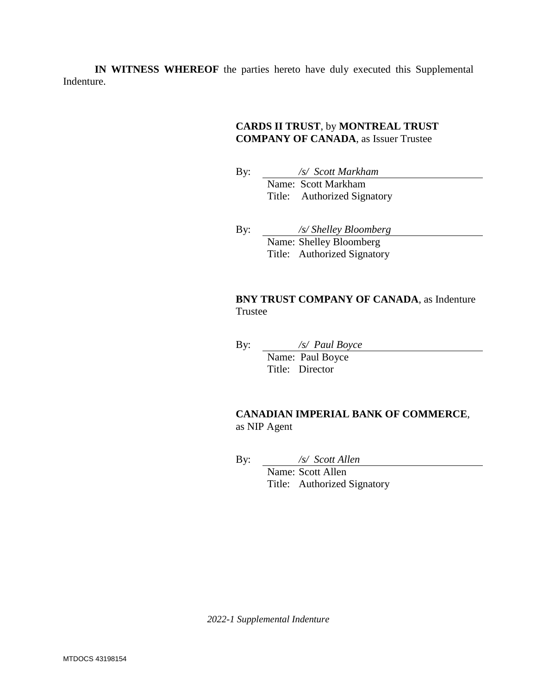**IN WITNESS WHEREOF** the parties hereto have duly executed this Supplemental Indenture.

### **CARDS II TRUST**, by **MONTREAL TRUST COMPANY OF CANADA**, as Issuer Trustee

By: */s/ Scott Markham*  Name: Scott Markham Title: Authorized Signatory

By: */s/ Shelley Bloomberg*  Name: Shelley Bloomberg Title: Authorized Signatory

### **BNY TRUST COMPANY OF CANADA, as Indenture** Trustee

By: */s/ Paul Boyce* 

Name: Paul Boyce Title: Director

## **CANADIAN IMPERIAL BANK OF COMMERCE**, as NIP Agent

By: */s/ Scott Allen* 

Name: Scott Allen Title: Authorized Signatory

*2022-1 Supplemental Indenture*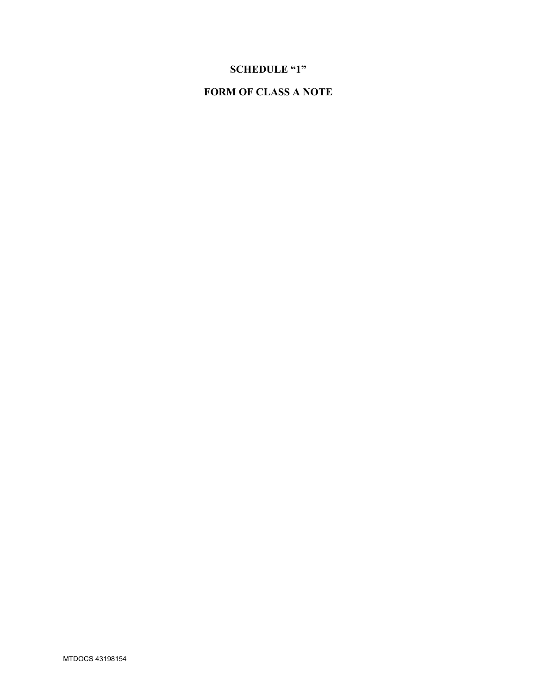# **SCHEDULE "1"**

# **FORM OF CLASS A NOTE**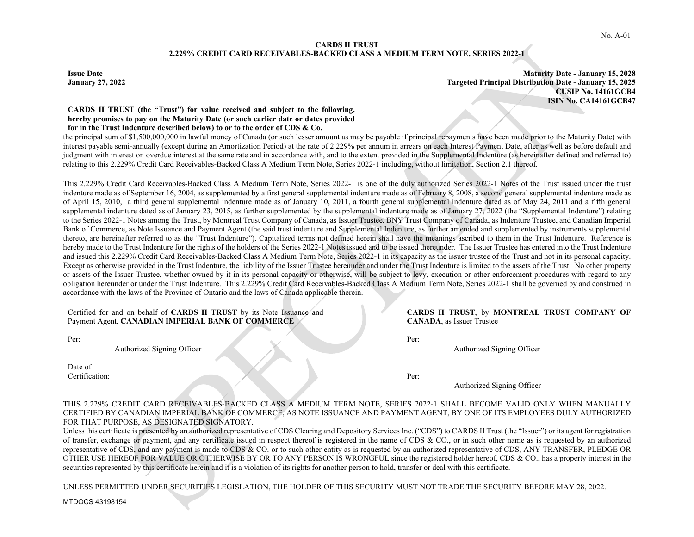#### **CARDS II TRUST 2.229% CREDIT CARD RECEIVABLES-BACKED CLASS A MEDIUM TERM NOTE, SERIES 2022-1**

**Issue Date Maturity Date - January 15, 2028 January 27, 2022 Targeted Principal Distribution Date - January 15, 2025 CUSIP No. 14161GCB4 ISIN No. CA14161GCB47** 

#### **CARDS II TRUST (the "Trust") for value received and subject to the following, hereby promises to pay on the Maturity Date (or such earlier date or dates provided for in the Trust Indenture described below) to or to the order of CDS & Co.**

the principal sum of \$1,500,000,000 in lawful money of Canada (or such lesser amount as may be payable if principal repayments have been made prior to the Maturity Date) with interest payable semi-annually (except during an Amortization Period) at the rate of 2.229% per annum in arrears on each Interest Payment Date, after as well as before default and judgment with interest on overdue interest at the same rate and in accordance with, and to the extent provided in the Supplemental Indenture (as hereinafter defined and referred to) relating to this 2.229% Credit Card Receivables-Backed Class A Medium Term Note, Series 2022-1 including, without limitation, Section 2.1 thereof.

This 2.229% Credit Card Receivables-Backed Class A Medium Term Note, Series 2022-1 is one of the duly authorized Series 2022-1 Notes of the Trust issued under the trust indenture made as of September 16, 2004, as supplemented by a first general supplemental indenture made as of February 8, 2008, a second general supplemental indenture made as of April 15, 2010, a third general supplemental indenture made as of January 10, 2011, a fourth general supplemental indenture dated as of May 24, 2011 and a fifth general supplemental indenture dated as of January 23, 2015, as further supplemented by the supplemental indenture made as of January 27, 2022 (the "Supplemental Indenture") relating to the Series 2022-1 Notes among the Trust, by Montreal Trust Company of Canada, as Issuer Trustee, BNY Trust Company of Canada, as Indenture Trustee, and Canadian Imperial Bank of Commerce, as Note Issuance and Payment Agent (the said trust indenture and Supplemental Indenture, as further amended and supplemented by instruments supplemental thereto, are hereinafter referred to as the "Trust Indenture"). Capitalized terms not defined herein shall have the meanings ascribed to them in the Trust Indenture. Reference is hereby made to the Trust Indenture for the rights of the holders of the Series 2022-1 Notes issued and to be issued thereunder. The Issuer Trustee has entered into the Trust Indenture and issued this 2.229% Credit Card Receivables-Backed Class A Medium Term Note, Series 2022-1 in its capacity as the issuer trustee of the Trust and not in its personal capacity. Except as otherwise provided in the Trust Indenture, the liability of the Issuer Trustee hereunder and under the Trust Indenture is limited to the assets of the Trust. No other property or assets of the Issuer Trustee, whether owned by it in its personal capacity or otherwise, will be subject to levy, execution or other enforcement procedures with regard to any obligation hereunder or under the Trust Indenture. This 2.229% Credit Card Receivables-Backed Class A Medium Term Note, Series 2022-1 shall be governed by and construed in accordance with the laws of the Province of Ontario and the laws of Canada applicable therein.

Certified for and on behalf of **CARDS II TRUST** by its Note Issuance and Payment Agent, **CANADIAN IMPERIAL BANK OF COMMERCE** 

Per: Per:

Date of Certification: Per:

**CARDS II TRUST**, by **MONTREAL TRUST COMPANY OF CANADA**, as Issuer Trustee

Authorized Signing Officer Authorized Signing Officer Authorized Signing Officer

Authorized Signing Officer

THIS 2.229% CREDIT CARD RECEIVABLES-BACKED CLASS A MEDIUM TERM NOTE, SERIES 2022-1 SHALL BECOME VALID ONLY WHEN MANUALLY CERTIFIED BY CANADIAN IMPERIAL BANK OF COMMERCE, AS NOTE ISSUANCE AND PAYMENT AGENT, BY ONE OF ITS EMPLOYEES DULY AUTHORIZED FOR THAT PURPOSE, AS DESIGNATED SIGNATORY.

Unless this certificate is presented by an authorized representative of CDS Clearing and Depository Services Inc. ("CDS") to CARDS II Trust (the "Issuer") or its agent for registration of transfer, exchange or payment, and any certificate issued in respect thereof is registered in the name of CDS  $\&$  CO., or in such other name as is requested by an authorized representative of CDS, and any payment is made to CDS & CO. or to such other entity as is requested by an authorized representative of CDS, ANY TRANSFER, PLEDGE OR OTHER USE HEREOF FOR VALUE OR OTHERWISE BY OR TO ANY PERSON IS WRONGFUL since the registered holder hereof, CDS & CO., has a property interest in the securities represented by this certificate herein and it is a violation of its rights for another person to hold, transfer or deal with this certificate.

UNLESS PERMITTED UNDER SECURITIES LEGISLATION, THE HOLDER OF THIS SECURITY MUST NOT TRADE THE SECURITY BEFORE MAY 28, 2022.

MTDOCS 43198154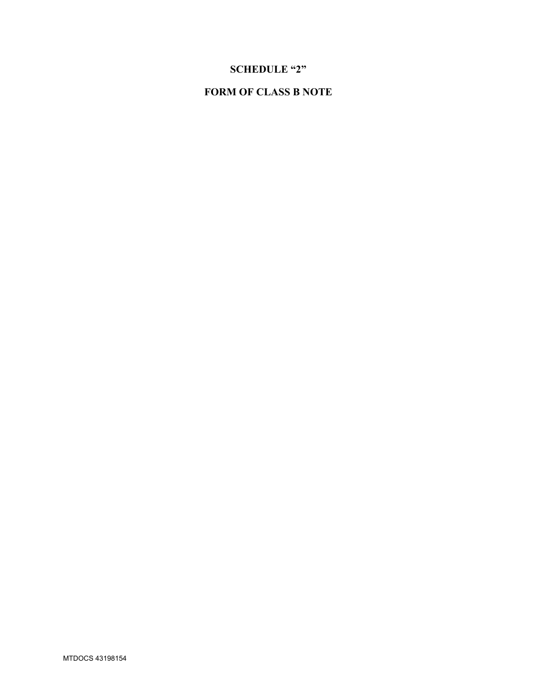# **SCHEDULE "2"**

# **FORM OF CLASS B NOTE**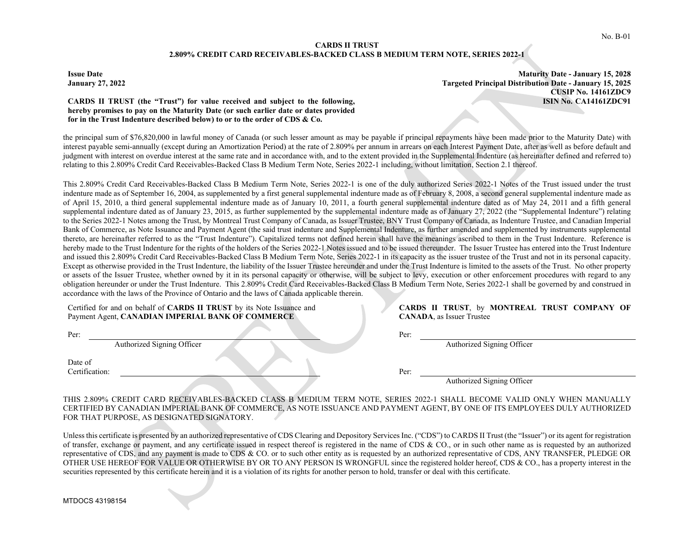#### **CARDS II TRUST 2.809% CREDIT CARD RECEIVABLES-BACKED CLASS B MEDIUM TERM NOTE, SERIES 2022-1**

**Issue Date Maturity Date - January 15, 2028 January 27, 2022 Targeted Principal Distribution Date - January 15, 2025 CUSIP No. 14161ZDC9 ISIN No. CA14161ZDC91** 

#### **CARDS II TRUST (the "Trust") for value received and subject to the following, hereby promises to pay on the Maturity Date (or such earlier date or dates provided for in the Trust Indenture described below) to or to the order of CDS & Co.**

the principal sum of \$76,820,000 in lawful money of Canada (or such lesser amount as may be payable if principal repayments have been made prior to the Maturity Date) with interest payable semi-annually (except during an Amortization Period) at the rate of 2.809% per annum in arrears on each Interest Payment Date, after as well as before default and judgment with interest on overdue interest at the same rate and in accordance with, and to the extent provided in the Supplemental Indenture (as hereinafter defined and referred to) relating to this 2.809% Credit Card Receivables-Backed Class B Medium Term Note, Series 2022-1 including, without limitation, Section 2.1 thereof.

This 2.809% Credit Card Receivables-Backed Class B Medium Term Note, Series 2022-1 is one of the duly authorized Series 2022-1 Notes of the Trust issued under the trust indenture made as of September 16, 2004, as supplemented by a first general supplemental indenture made as of February 8, 2008, a second general supplemental indenture made as of April 15, 2010, a third general supplemental indenture made as of January 10, 2011, a fourth general supplemental indenture dated as of May 24, 2011 and a fifth general supplemental indenture dated as of January 23, 2015, as further supplemented by the supplemental indenture made as of January 27, 2022 (the "Supplemental Indenture") relating to the Series 2022-1 Notes among the Trust, by Montreal Trust Company of Canada, as Issuer Trustee, BNY Trust Company of Canada, as Indenture Trustee, and Canadian Imperial Bank of Commerce, as Note Issuance and Payment Agent (the said trust indenture and Supplemental Indenture, as further amended and supplemented by instruments supplemental thereto, are hereinafter referred to as the "Trust Indenture"). Capitalized terms not defined herein shall have the meanings ascribed to them in the Trust Indenture. Reference is hereby made to the Trust Indenture for the rights of the holders of the Series 2022-1 Notes issued and to be issued thereunder. The Issuer Trustee has entered into the Trust Indenture and issued this 2.809% Credit Card Receivables-Backed Class B Medium Term Note, Series 2022-1 in its capacity as the issuer trustee of the Trust and not in its personal capacity. Except as otherwise provided in the Trust Indenture, the liability of the Issuer Trustee hereunder and under the Trust Indenture is limited to the assets of the Trust. No other property or assets of the Issuer Trustee, whether owned by it in its personal capacity or otherwise, will be subject to levy, execution or other enforcement procedures with regard to any obligation hereunder or under the Trust Indenture. This 2.809% Credit Card Receivables-Backed Class B Medium Term Note, Series 2022-1 shall be governed by and construed in accordance with the laws of the Province of Ontario and the laws of Canada applicable therein.

Certified for and on behalf of **CARDS II TRUST** by its Note Issuance and Payment Agent, **CANADIAN IMPERIAL BANK OF COMMERCE** 

Authorized Signing Officer Authorized Signing Officer

| Date of        |  |      |
|----------------|--|------|
| Certification: |  | Per: |

|  |                                   | CARDS II TRUST, by MONTREAL TRUST COMPANY OF |  |  |
|--|-----------------------------------|----------------------------------------------|--|--|
|  | <b>CANADA</b> , as Issuer Trustee |                                              |  |  |

Per: Per: Perix Perix Perix Perix Perix Perix Perix Perix Perix Perix Perix Perix Perix Perix Perix Perix Perix Perix Perix Perix Perix Perix Perix Perix Perix Perix Perix Perix Perix Perix Perix Perix Perix Perix Perix Pe

Authorized Signing Officer

THIS 2.809% CREDIT CARD RECEIVABLES-BACKED CLASS B MEDIUM TERM NOTE, SERIES 2022-1 SHALL BECOME VALID ONLY WHEN MANUALLY CERTIFIED BY CANADIAN IMPERIAL BANK OF COMMERCE, AS NOTE ISSUANCE AND PAYMENT AGENT, BY ONE OF ITS EMPLOYEES DULY AUTHORIZED FOR THAT PURPOSE, AS DESIGNATED SIGNATORY.

Unless this certificate is presented by an authorized representative of CDS Clearing and Depository Services Inc. ("CDS") to CARDS II Trust (the "Issuer") or its agent for registration of transfer, exchange or payment, and any certificate issued in respect thereof is registered in the name of CDS  $\&$  CO., or in such other name as is requested by an authorized representative of CDS, and any payment is made to CDS & CO. or to such other entity as is requested by an authorized representative of CDS, ANY TRANSFER, PLEDGE OR OTHER USE HEREOF FOR VALUE OR OTHERWISE BY OR TO ANY PERSON IS WRONGFUL since the registered holder hereof, CDS & CO., has a property interest in the securities represented by this certificate herein and it is a violation of its rights for another person to hold, transfer or deal with this certificate.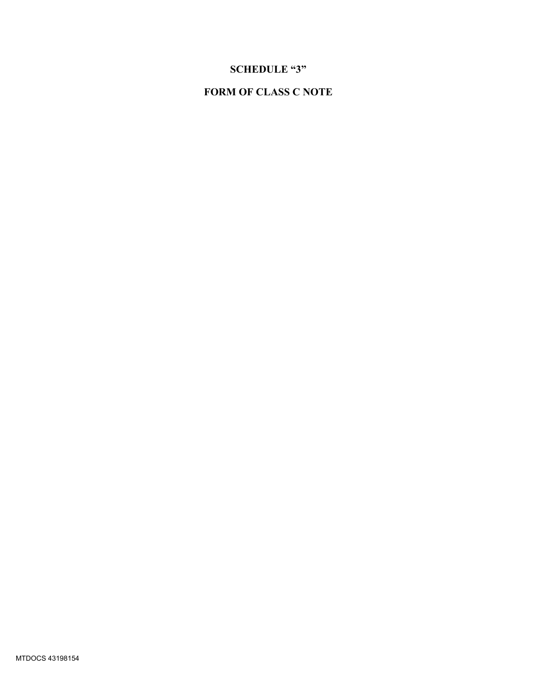# **SCHEDULE "3"**

# **FORM OF CLASS C NOTE**